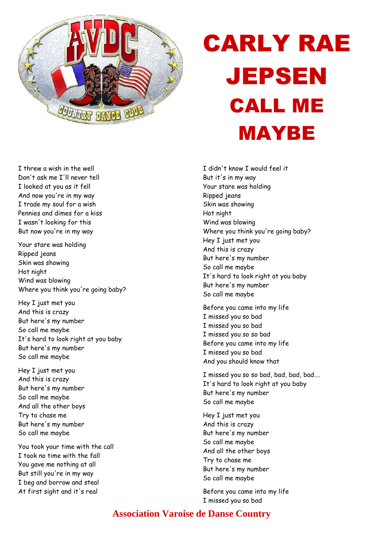

## CARLY RAE JEPSEN CALL ME MAYBE

I threw a wish in the well Don't ask me I'll never tell I looked at you as it fell And now you're in my way I trade my soul for a wish Pennies and dimes for a kiss I wasn't looking for this But now you're in my way

Your stare was holding Ripped jeans Skin was showing Hot night Wind was blowing Where you think you're going baby?

Hey I just met you And this is crazy But here's my number So call me maybe It's hard to look right at you baby But here's my number So call me maybe

Hey I just met you And this is crazy But here's my number So call me maybe And all the other boys Try to chase me But here's my number So call me maybe

You took your time with the call I took no time with the fall You gave me nothing at all But still you're in my way I beg and borrow and steal At first sight and it's real

I didn't know I would feel it But it's in my way Your stare was holding Ripped jeans Skin was showing Hot night Wind was blowing Where you think you're going baby? Hey I just met you And this is crazy But here's my number So call me maybe It's hard to look right at you baby But here's my number So call me maybe

Before you came into my life I missed you so bad I missed you so bad I missed you so so bad Before you came into my life I missed you so bad And you should know that

I missed you so so bad, bad, bad, bad…. It's hard to look right at you baby But here's my number So call me maybe

Hey I just met you And this is crazy But here's my number So call me maybe And all the other boys Try to chase me But here's my number So call me maybe

Before you came into my life I missed you so bad

## **Association Varoise de Danse Country**